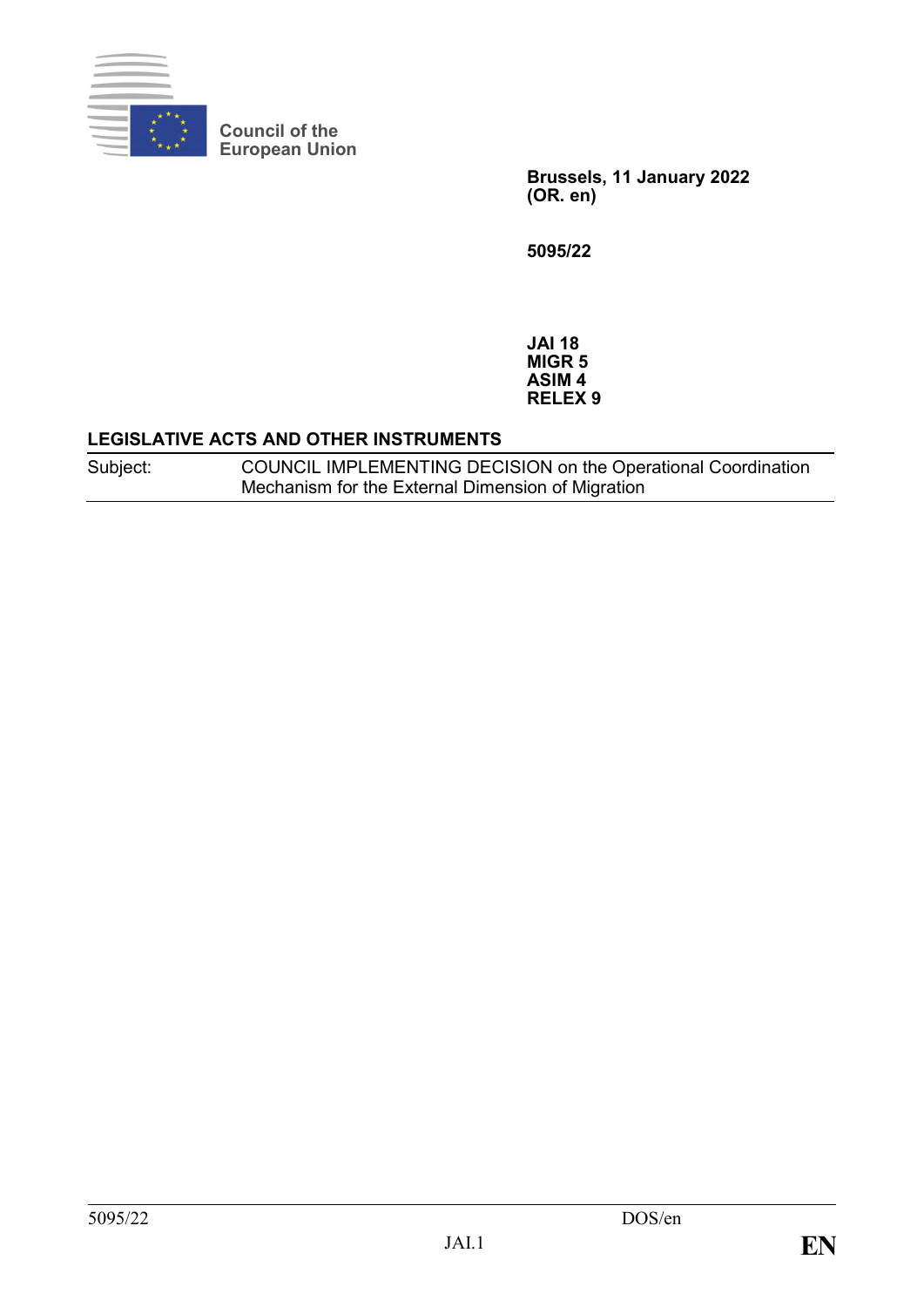

**Council of the European Union**

> **Brussels, 11 January 2022 (OR. en)**

**5095/22**

**JAI 18 MIGR 5 ASIM 4 RELEX 9**

### **LEGISLATIVE ACTS AND OTHER INSTRUMENTS**

Subject: COUNCIL IMPLEMENTING DECISION on the Operational Coordination Mechanism for the External Dimension of Migration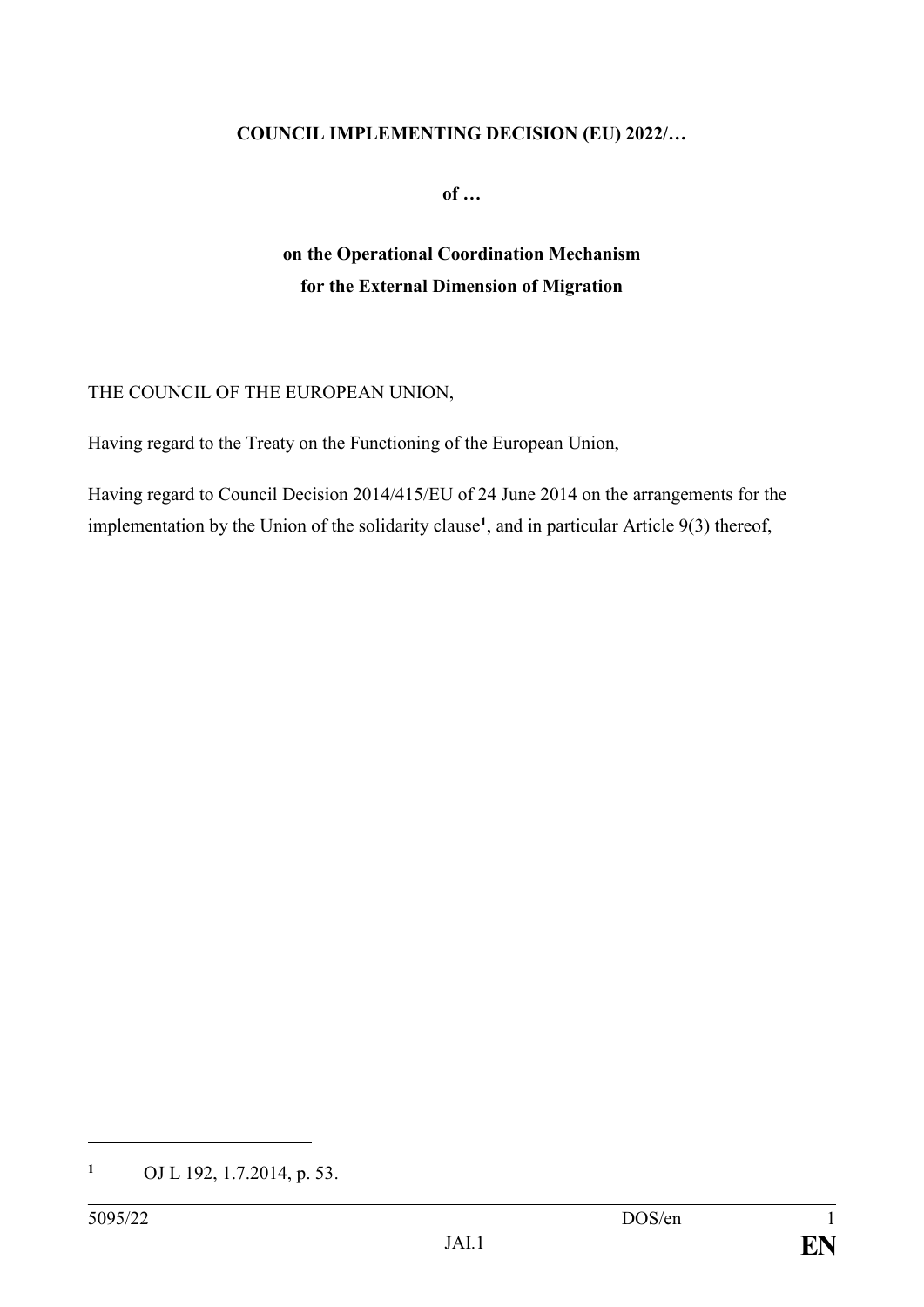### **COUNCIL IMPLEMENTING DECISION (EU) 2022/…**

**of …**

# **on the Operational Coordination Mechanism for the External Dimension of Migration**

## THE COUNCIL OF THE EUROPEAN UNION,

Having regard to the Treaty on the Functioning of the European Union,

Having regard to Council Decision 2014/415/EU of 24 June 2014 on the arrangements for the implementation by the Union of the solidarity clause**<sup>1</sup>** , and in particular Article 9(3) thereof,

1

**<sup>1</sup>** OJ L 192, 1.7.2014, p. 53.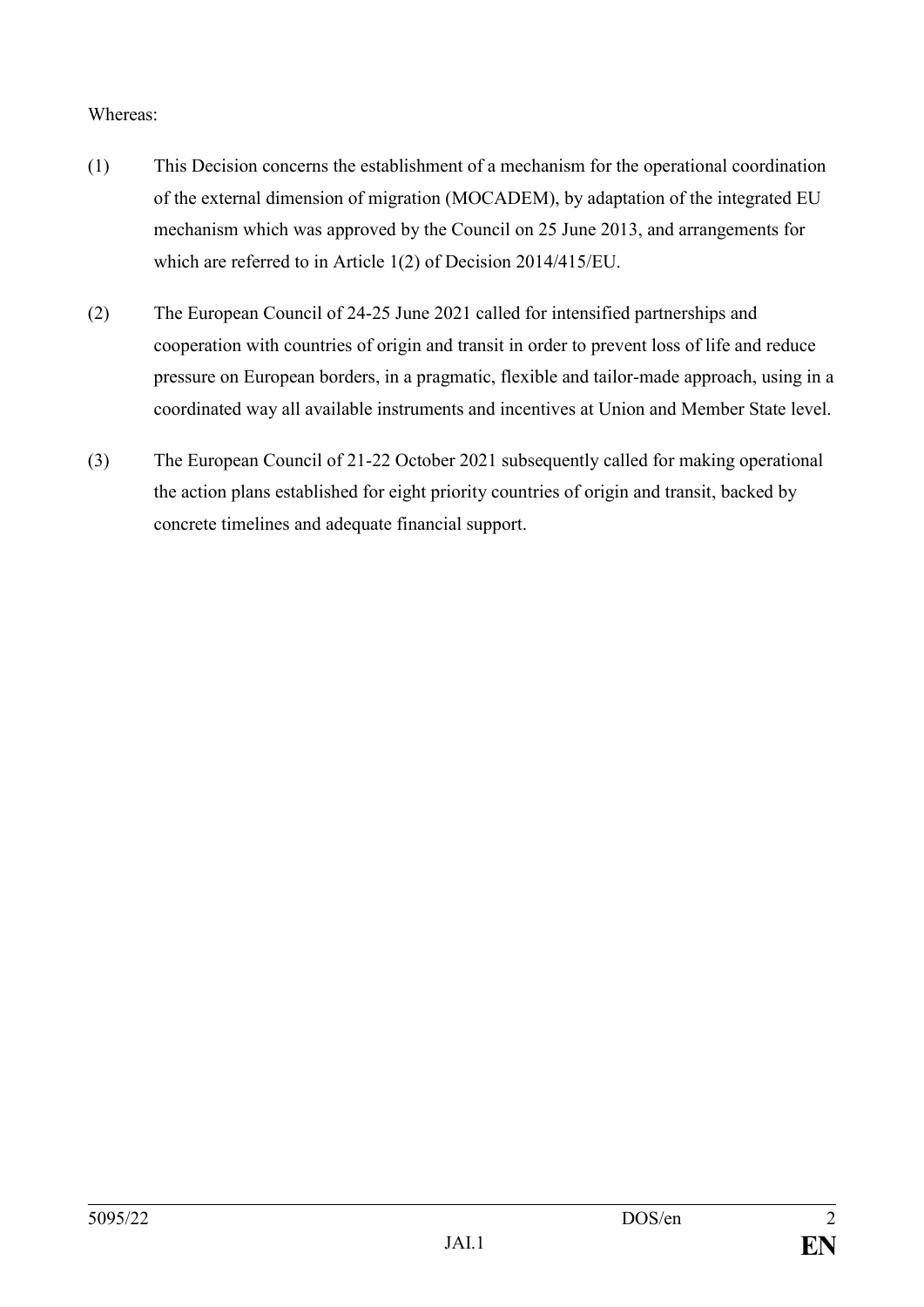### Whereas:

- (1) This Decision concerns the establishment of a mechanism for the operational coordination of the external dimension of migration (MOCADEM), by adaptation of the integrated EU mechanism which was approved by the Council on 25 June 2013, and arrangements for which are referred to in Article 1(2) of Decision 2014/415/EU.
- (2) The European Council of 24-25 June 2021 called for intensified partnerships and cooperation with countries of origin and transit in order to prevent loss of life and reduce pressure on European borders, in a pragmatic, flexible and tailor-made approach, using in a coordinated way all available instruments and incentives at Union and Member State level.
- (3) The European Council of 21-22 October 2021 subsequently called for making operational the action plans established for eight priority countries of origin and transit, backed by concrete timelines and adequate financial support.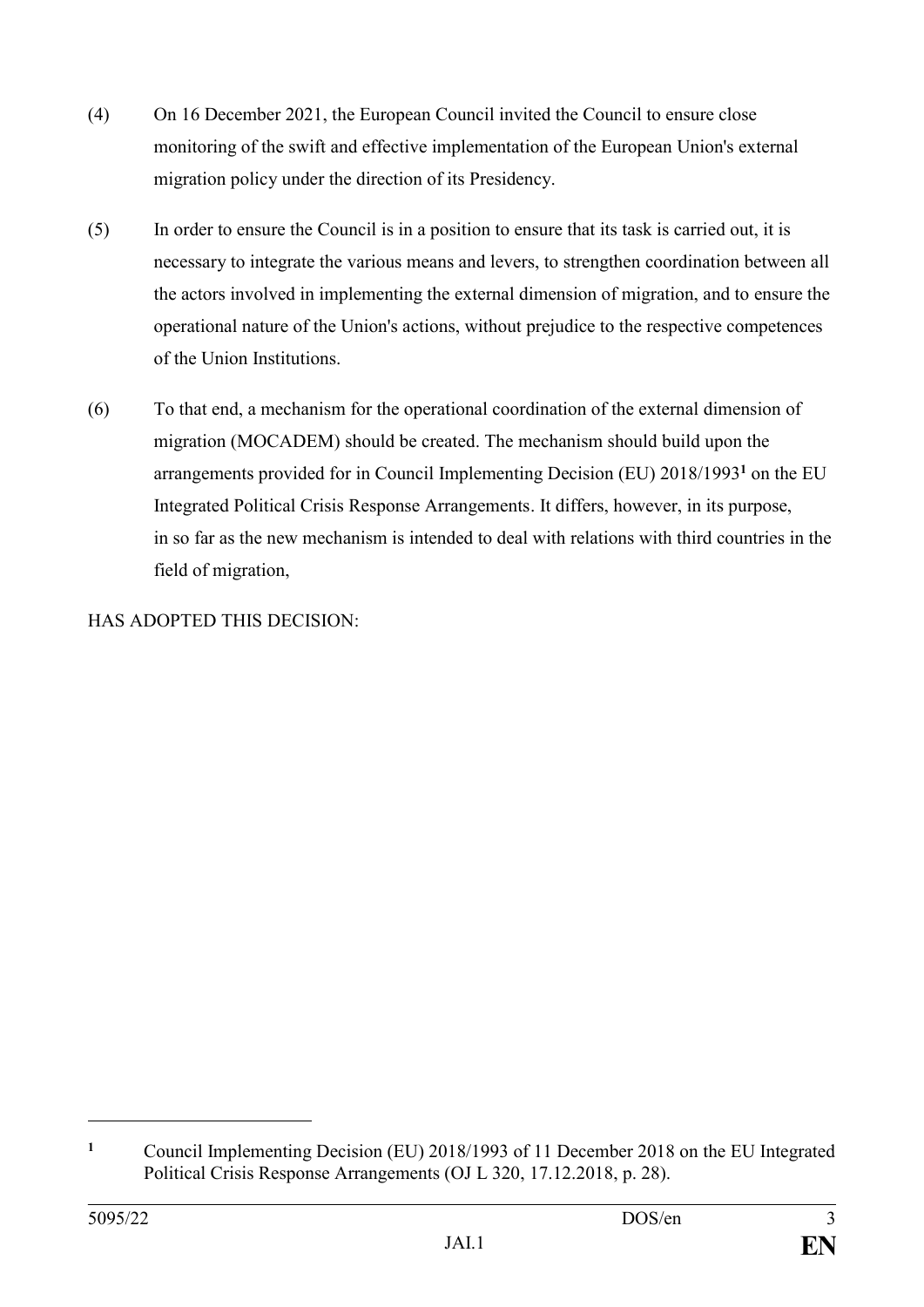- (4) On 16 December 2021, the European Council invited the Council to ensure close monitoring of the swift and effective implementation of the European Union's external migration policy under the direction of its Presidency.
- (5) In order to ensure the Council is in a position to ensure that its task is carried out, it is necessary to integrate the various means and levers, to strengthen coordination between all the actors involved in implementing the external dimension of migration, and to ensure the operational nature of the Union's actions, without prejudice to the respective competences of the Union Institutions.
- (6) To that end, a mechanism for the operational coordination of the external dimension of migration (MOCADEM) should be created. The mechanism should build upon the arrangements provided for in Council Implementing Decision (EU) 2018/1993**<sup>1</sup>** on the EU Integrated Political Crisis Response Arrangements. It differs, however, in its purpose, in so far as the new mechanism is intended to deal with relations with third countries in the field of migration,

HAS ADOPTED THIS DECISION:

1

**<sup>1</sup>** Council Implementing Decision (EU) 2018/1993 of 11 December 2018 on the EU Integrated Political Crisis Response Arrangements (OJ L 320, 17.12.2018, p. 28).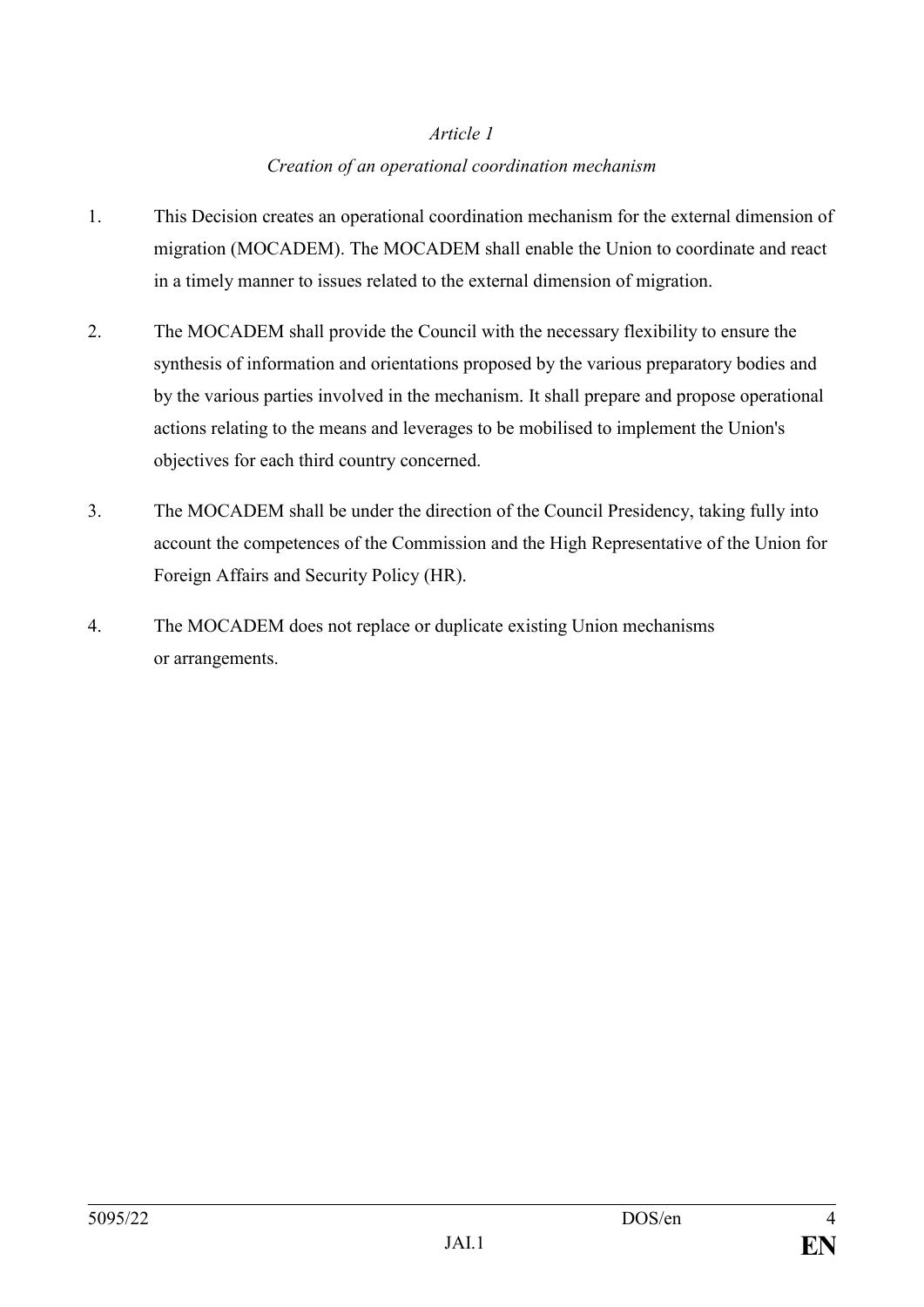## *Creation of an operational coordination mechanism*

- 1. This Decision creates an operational coordination mechanism for the external dimension of migration (MOCADEM). The MOCADEM shall enable the Union to coordinate and react in a timely manner to issues related to the external dimension of migration.
- 2. The MOCADEM shall provide the Council with the necessary flexibility to ensure the synthesis of information and orientations proposed by the various preparatory bodies and by the various parties involved in the mechanism. It shall prepare and propose operational actions relating to the means and leverages to be mobilised to implement the Union's objectives for each third country concerned.
- 3. The MOCADEM shall be under the direction of the Council Presidency, taking fully into account the competences of the Commission and the High Representative of the Union for Foreign Affairs and Security Policy (HR).
- 4. The MOCADEM does not replace or duplicate existing Union mechanisms or arrangements.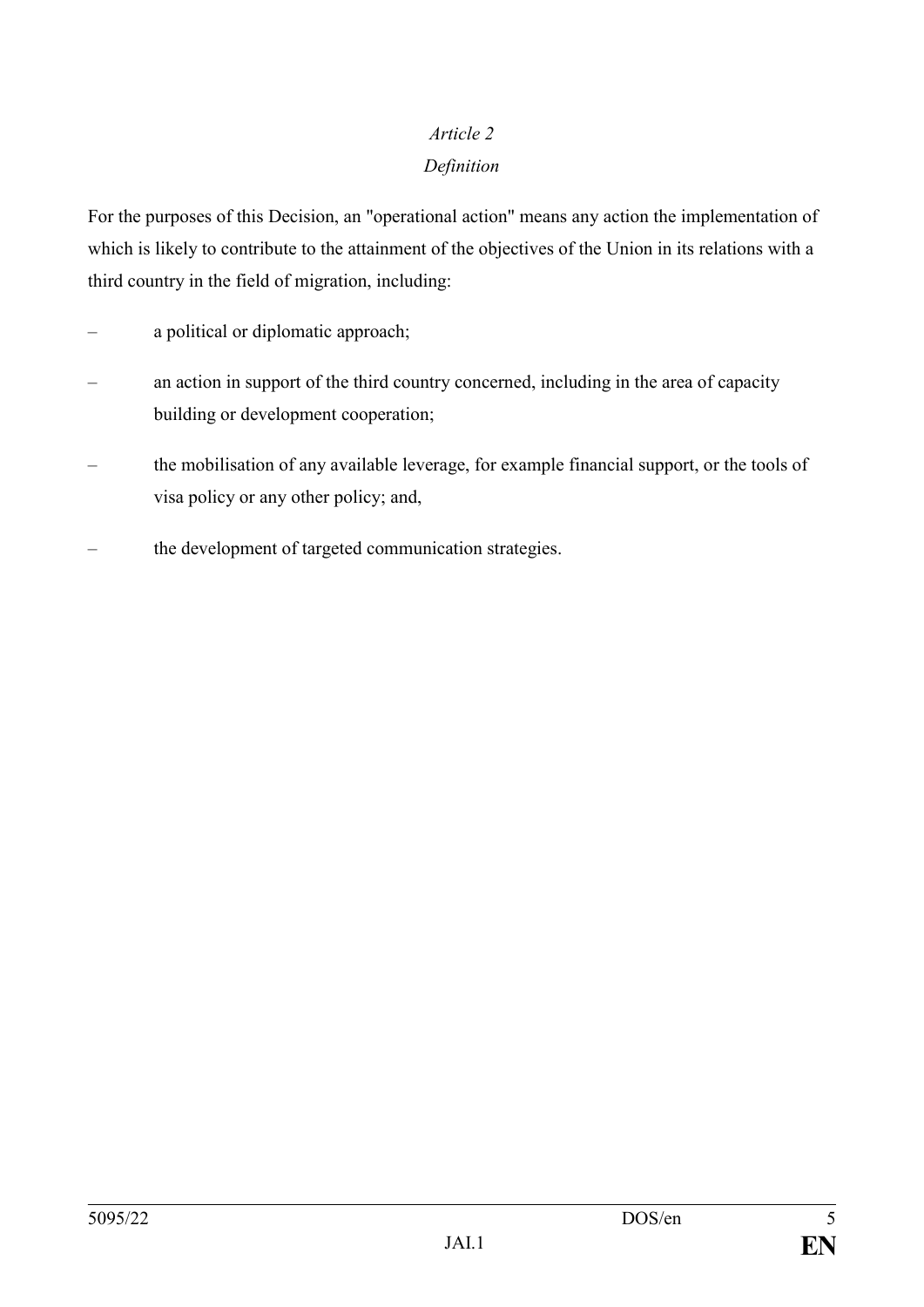# *Article 2 Definition*

For the purposes of this Decision, an "operational action" means any action the implementation of which is likely to contribute to the attainment of the objectives of the Union in its relations with a third country in the field of migration, including:

- a political or diplomatic approach;
- an action in support of the third country concerned, including in the area of capacity building or development cooperation;
- the mobilisation of any available leverage, for example financial support, or the tools of visa policy or any other policy; and,
- the development of targeted communication strategies.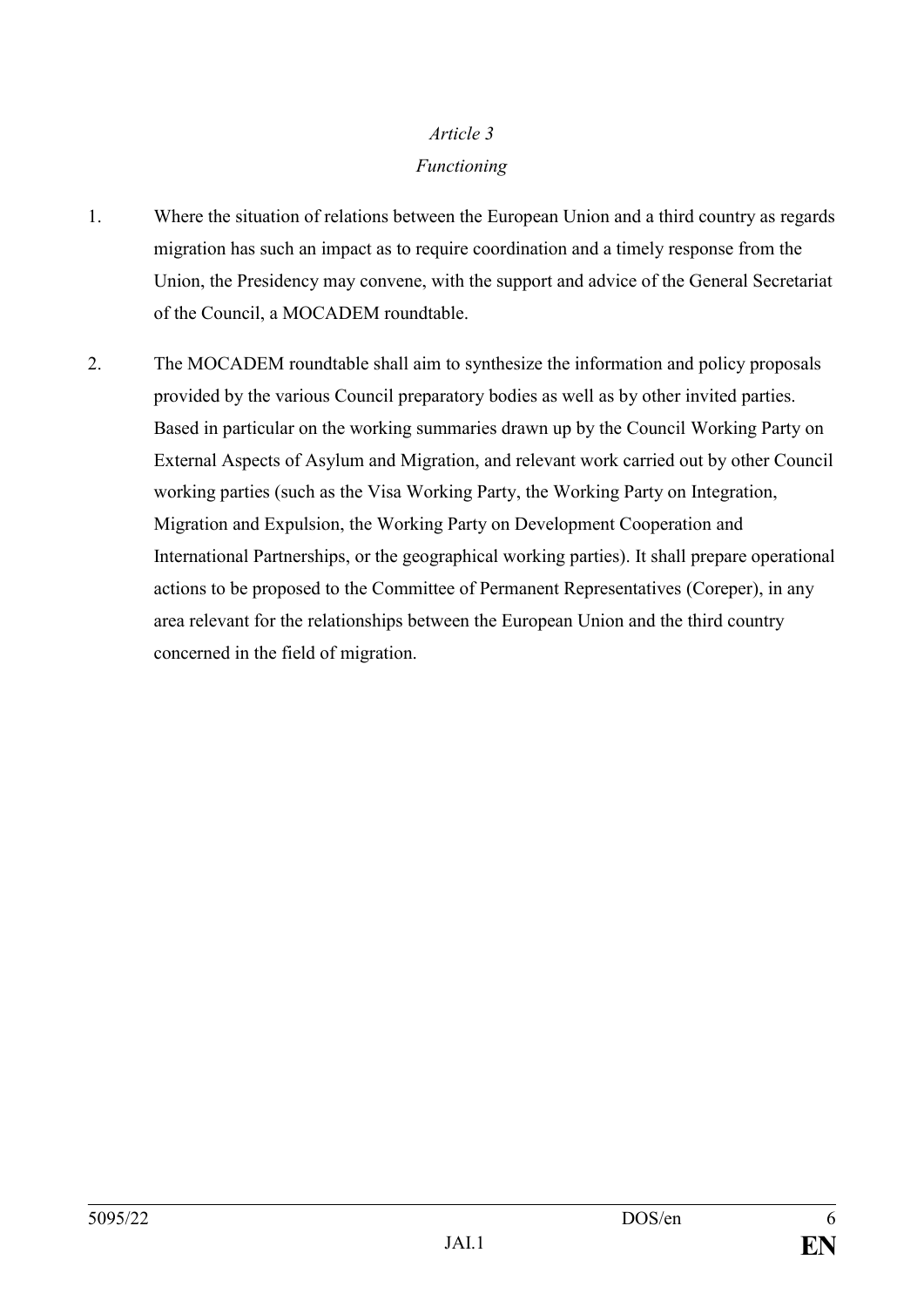# *Article 3 Functioning*

- 1. Where the situation of relations between the European Union and a third country as regards migration has such an impact as to require coordination and a timely response from the Union, the Presidency may convene, with the support and advice of the General Secretariat of the Council, a MOCADEM roundtable.
- 2. The MOCADEM roundtable shall aim to synthesize the information and policy proposals provided by the various Council preparatory bodies as well as by other invited parties. Based in particular on the working summaries drawn up by the Council Working Party on External Aspects of Asylum and Migration, and relevant work carried out by other Council working parties (such as the Visa Working Party, the Working Party on Integration, Migration and Expulsion, the Working Party on Development Cooperation and International Partnerships, or the geographical working parties). It shall prepare operational actions to be proposed to the Committee of Permanent Representatives (Coreper), in any area relevant for the relationships between the European Union and the third country concerned in the field of migration.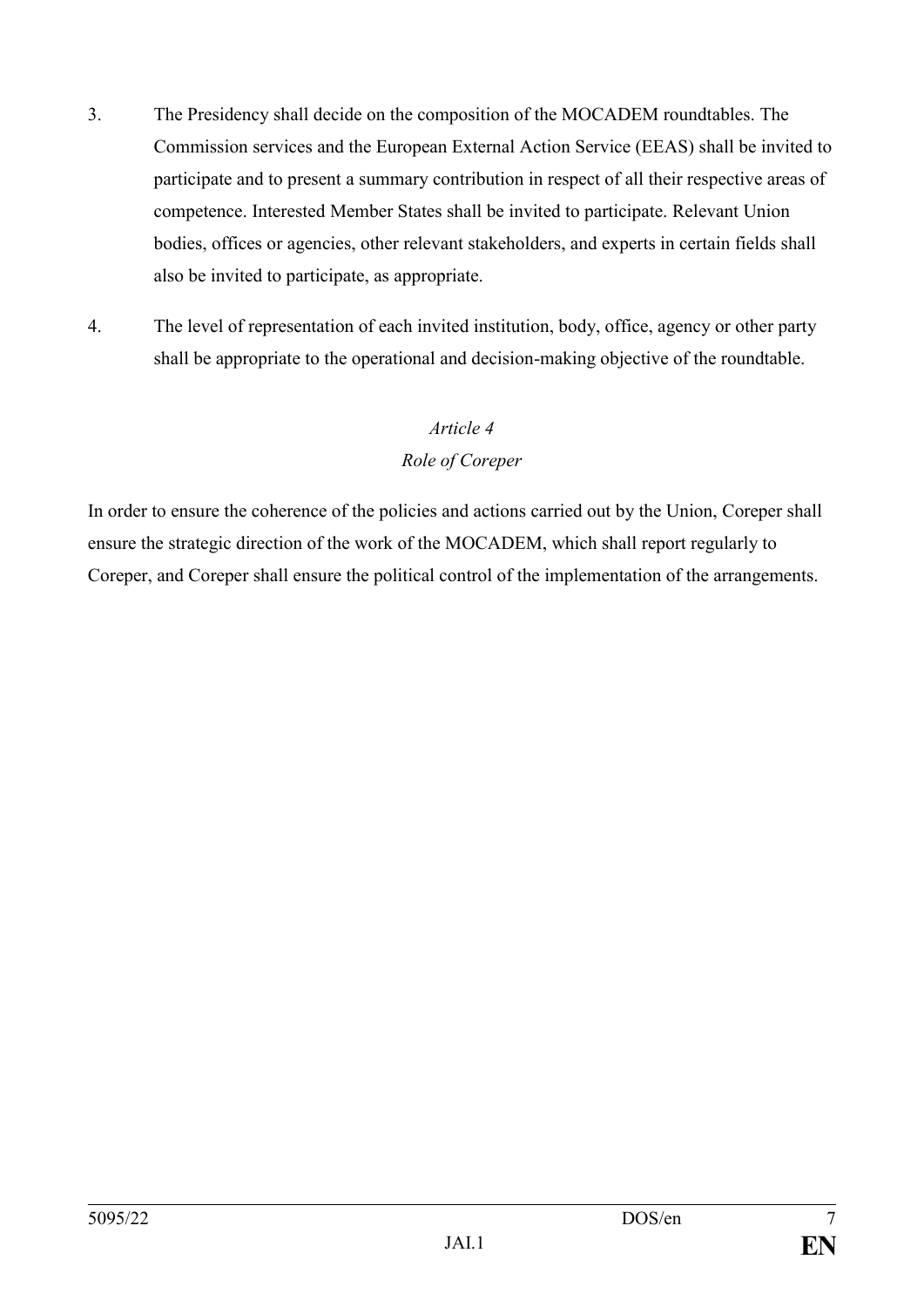- 3. The Presidency shall decide on the composition of the MOCADEM roundtables. The Commission services and the European External Action Service (EEAS) shall be invited to participate and to present a summary contribution in respect of all their respective areas of competence. Interested Member States shall be invited to participate. Relevant Union bodies, offices or agencies, other relevant stakeholders, and experts in certain fields shall also be invited to participate, as appropriate.
- 4. The level of representation of each invited institution, body, office, agency or other party shall be appropriate to the operational and decision-making objective of the roundtable.

## *Role of Coreper*

In order to ensure the coherence of the policies and actions carried out by the Union, Coreper shall ensure the strategic direction of the work of the MOCADEM, which shall report regularly to Coreper, and Coreper shall ensure the political control of the implementation of the arrangements.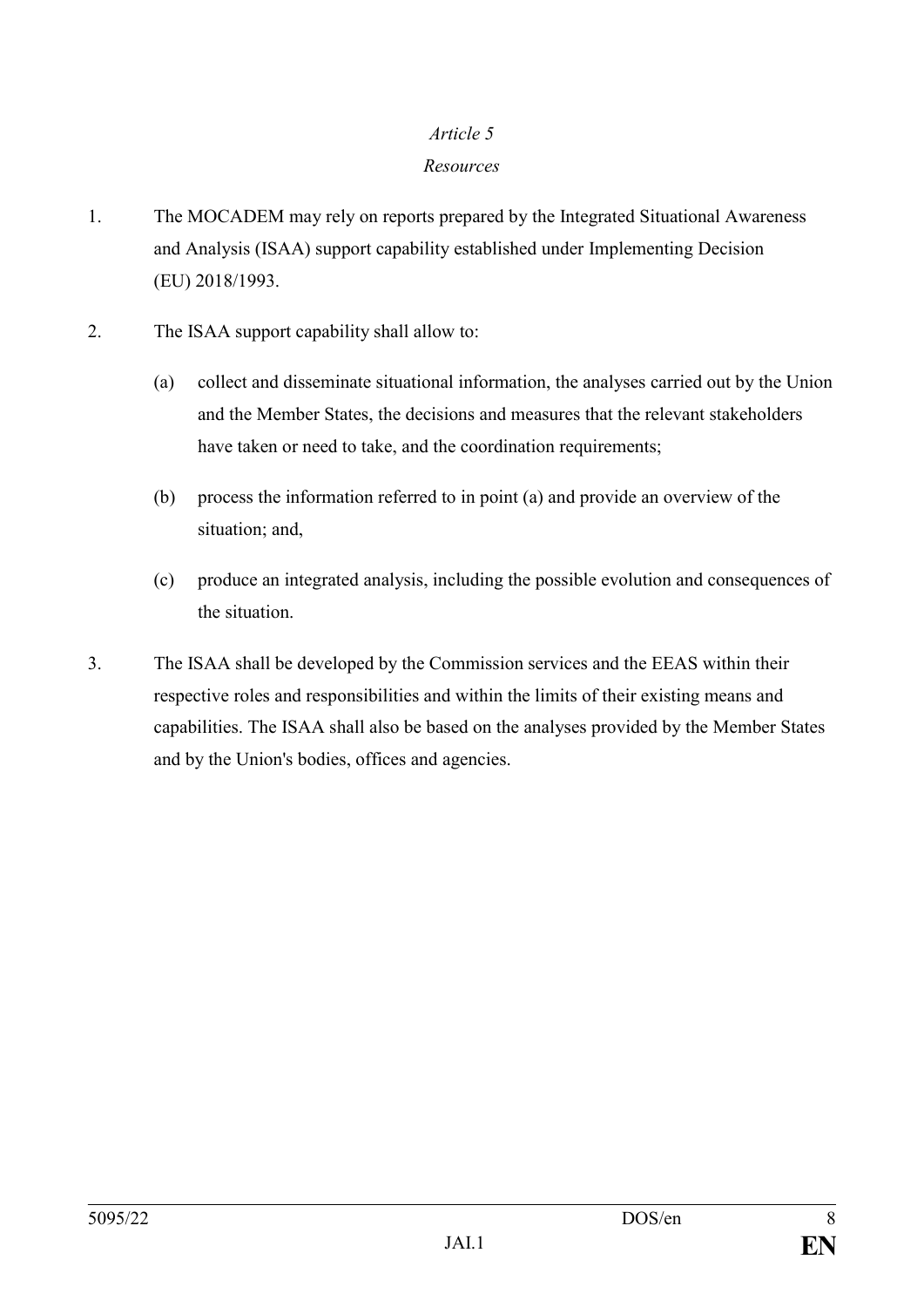### *Resources*

- 1. The MOCADEM may rely on reports prepared by the Integrated Situational Awareness and Analysis (ISAA) support capability established under Implementing Decision (EU) 2018/1993.
- 2. The ISAA support capability shall allow to:
	- (a) collect and disseminate situational information, the analyses carried out by the Union and the Member States, the decisions and measures that the relevant stakeholders have taken or need to take, and the coordination requirements;
	- (b) process the information referred to in point (a) and provide an overview of the situation; and,
	- (c) produce an integrated analysis, including the possible evolution and consequences of the situation.
- 3. The ISAA shall be developed by the Commission services and the EEAS within their respective roles and responsibilities and within the limits of their existing means and capabilities. The ISAA shall also be based on the analyses provided by the Member States and by the Union's bodies, offices and agencies.